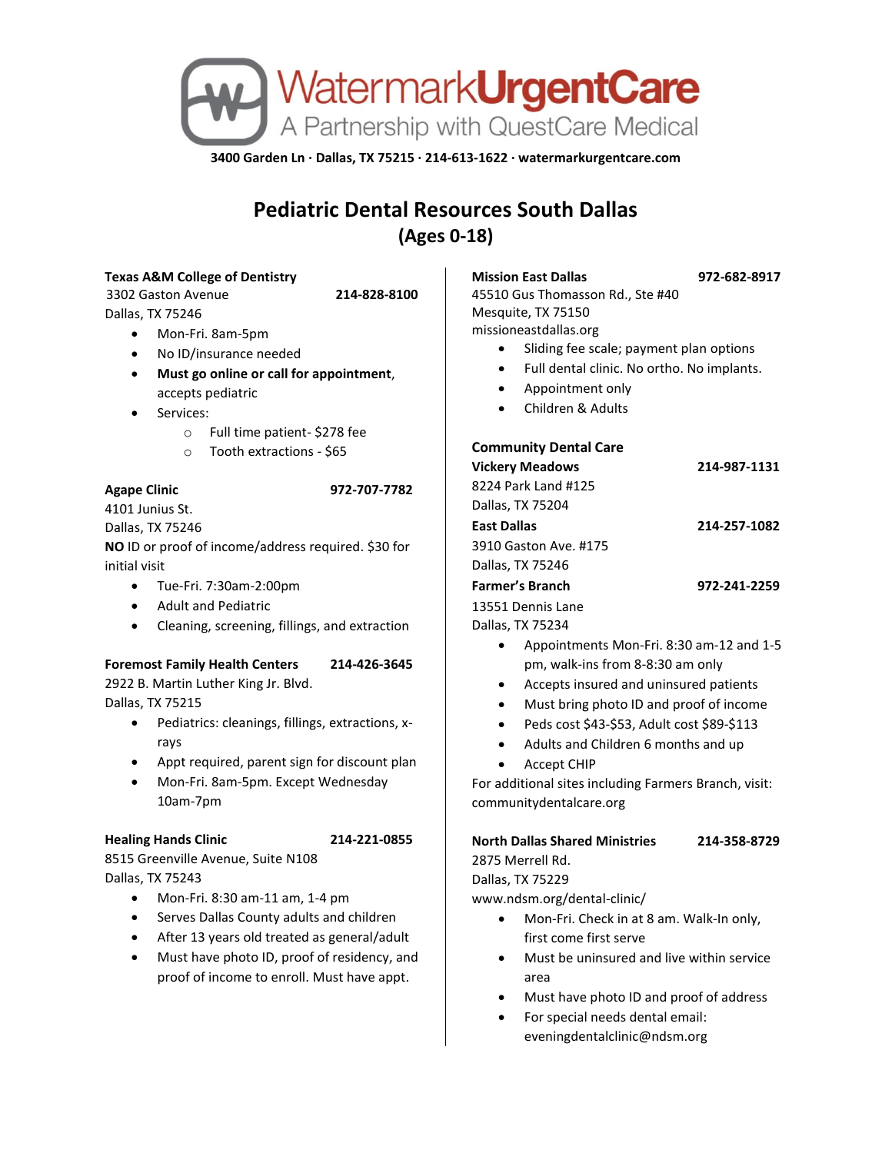

**3400 Garden Ln · Dallas, TX 75215 · 214-613-1622 · watermarkurgentcare.com**

# **Pediatric Dental Resources South Dallas (Ages 0-18)**

#### **Texas A&M College of Dentistry**

3302 Gaston Avenue **214-828-8100** Dallas, TX 75246

- Mon-Fri. 8am-5pm
- No ID/insurance needed
- **Must go online or call for appointment**, accepts pediatric
- Services:
	- o Full time patient- \$278 fee
	- o Tooth extractions \$65

#### **Agape Clinic 972-707-7782**

4101 Junius St. Dallas, TX 75246 **NO** ID or proof of income/address required. \$30 for initial visit

- Tue-Fri. 7:30am-2:00pm
- Adult and Pediatric
- Cleaning, screening, fillings, and extraction

### **Foremost Family Health Centers 214-426-3645**

2922 B. Martin Luther King Jr. Blvd. Dallas, TX 75215

- Pediatrics: cleanings, fillings, extractions, xrays
- Appt required, parent sign for discount plan
- Mon-Fri. 8am-5pm. Except Wednesday 10am-7pm

### **Healing Hands Clinic 214-221-0855**

8515 Greenville Avenue, Suite N108 Dallas, TX 75243

- Mon-Fri. 8:30 am-11 am, 1-4 pm
- Serves Dallas County adults and children
- After 13 years old treated as general/adult
- Must have photo ID, proof of residency, and proof of income to enroll. Must have appt.

**Mission East Dallas 972-682-8917**

45510 Gus Thomasson Rd., Ste #40 Mesquite, TX 75150 missioneastdallas.org

- Sliding fee scale; payment plan options
- Full dental clinic. No ortho. No implants.
- Appointment only
- Children & Adults

### **Community Dental Care**

| 214-987-1131 |
|--------------|
|              |
|              |
| 214-257-1082 |
|              |
|              |
| 972-241-2259 |
|              |
|              |
|              |

- Appointments Mon-Fri. 8:30 am-12 and 1-5 pm, walk-ins from 8-8:30 am only
- Accepts insured and uninsured patients
- Must bring photo ID and proof of income
- Peds cost \$43-\$53, Adult cost \$89-\$113
- Adults and Children 6 months and up
- Accept CHIP

For additional sites including Farmers Branch, visit: communitydentalcare.org

## **North Dallas Shared Ministries 214-358-8729** 2875 Merrell Rd.

Dallas, TX 75229

www.ndsm.org/dental-clinic/

- Mon-Fri. Check in at 8 am. Walk-In only, first come first serve
- Must be uninsured and live within service area
- Must have photo ID and proof of address
- For special needs dental email: eveningdentalclinic@ndsm.org